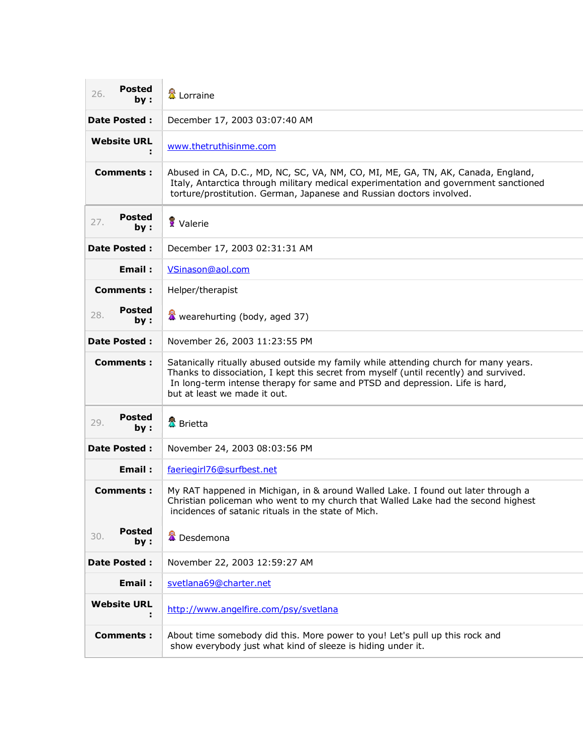| Posted<br>26.<br>by:        | 置 Lorraine                                                                                                                                                                                                                                                                                    |
|-----------------------------|-----------------------------------------------------------------------------------------------------------------------------------------------------------------------------------------------------------------------------------------------------------------------------------------------|
| <b>Date Posted:</b>         | December 17, 2003 03:07:40 AM                                                                                                                                                                                                                                                                 |
| <b>Website URL</b>          | www.thetruthisinme.com                                                                                                                                                                                                                                                                        |
| Comments :                  | Abused in CA, D.C., MD, NC, SC, VA, NM, CO, MI, ME, GA, TN, AK, Canada, England,<br>Italy, Antarctica through military medical experimentation and government sanctioned<br>torture/prostitution. German, Japanese and Russian doctors involved.                                              |
| Posted<br>27.<br>by:        | Valerie                                                                                                                                                                                                                                                                                       |
| <b>Date Posted:</b>         | December 17, 2003 02:31:31 AM                                                                                                                                                                                                                                                                 |
| Email:                      | VSinason@aol.com                                                                                                                                                                                                                                                                              |
| <b>Comments:</b>            | Helper/therapist                                                                                                                                                                                                                                                                              |
| Posted<br>28.<br>by :       | wearehurting (body, aged 37)                                                                                                                                                                                                                                                                  |
| <b>Date Posted:</b>         | November 26, 2003 11:23:55 PM                                                                                                                                                                                                                                                                 |
| Comments:                   | Satanically ritually abused outside my family while attending church for many years.<br>Thanks to dissociation, I kept this secret from myself (until recently) and survived.<br>In long-term intense therapy for same and PTSD and depression. Life is hard,<br>but at least we made it out. |
| Posted<br>29.<br>by :       | 墨 Brietta                                                                                                                                                                                                                                                                                     |
| <b>Date Posted:</b>         | November 24, 2003 08:03:56 PM                                                                                                                                                                                                                                                                 |
| Email:                      | faeriegirl76@surfbest.net                                                                                                                                                                                                                                                                     |
| <b>Comments:</b>            | My RAT happened in Michigan, in & around Walled Lake. I found out later through a<br>Christian policeman who went to my church that Walled Lake had the second highest<br>incidences of satanic rituals in the state of Mich.                                                                 |
| <b>Posted</b><br>30.<br>by: | <b>A</b> Desdemona                                                                                                                                                                                                                                                                            |
| <b>Date Posted:</b>         | November 22, 2003 12:59:27 AM                                                                                                                                                                                                                                                                 |
| Email:                      | svetlana69@charter.net                                                                                                                                                                                                                                                                        |
| <b>Website URL</b>          | http://www.angelfire.com/psy/svetlana                                                                                                                                                                                                                                                         |
| <b>Comments:</b>            | About time somebody did this. More power to you! Let's pull up this rock and<br>show everybody just what kind of sleeze is hiding under it.                                                                                                                                                   |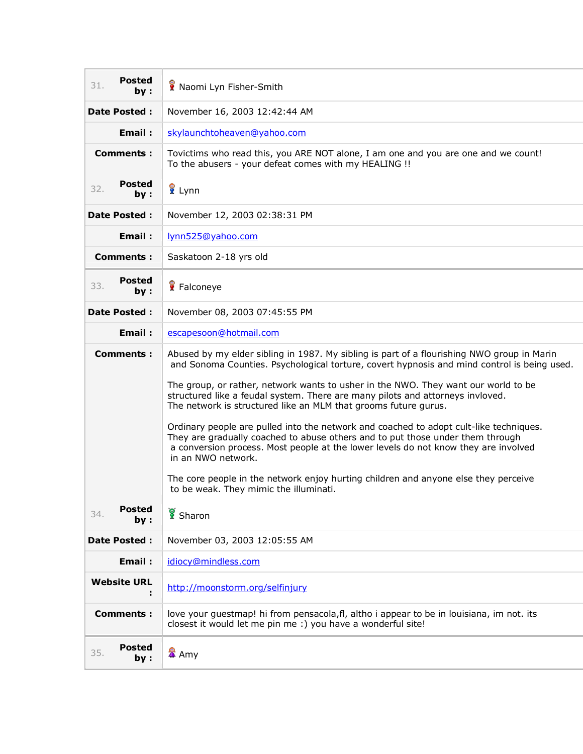| <b>Posted</b><br>31.<br>by: | Naomi Lyn Fisher-Smith                                                                                                                                                                                                                                                                |
|-----------------------------|---------------------------------------------------------------------------------------------------------------------------------------------------------------------------------------------------------------------------------------------------------------------------------------|
| <b>Date Posted:</b>         | November 16, 2003 12:42:44 AM                                                                                                                                                                                                                                                         |
| Email:                      | skylaunchtoheaven@yahoo.com                                                                                                                                                                                                                                                           |
| <b>Comments:</b>            | Tovictims who read this, you ARE NOT alone, I am one and you are one and we count!<br>To the abusers - your defeat comes with my HEALING !!                                                                                                                                           |
| <b>Posted</b><br>32.<br>by: | <mark>∛</mark> Lynn                                                                                                                                                                                                                                                                   |
| <b>Date Posted:</b>         | November 12, 2003 02:38:31 PM                                                                                                                                                                                                                                                         |
| Email:                      | lynn525@yahoo.com                                                                                                                                                                                                                                                                     |
| <b>Comments:</b>            | Saskatoon 2-18 yrs old                                                                                                                                                                                                                                                                |
| <b>Posted</b><br>33.<br>by: | Falconeye                                                                                                                                                                                                                                                                             |
| <b>Date Posted:</b>         | November 08, 2003 07:45:55 PM                                                                                                                                                                                                                                                         |
| Email:                      | escapesoon@hotmail.com                                                                                                                                                                                                                                                                |
| Comments :                  | Abused by my elder sibling in 1987. My sibling is part of a flourishing NWO group in Marin<br>and Sonoma Counties. Psychological torture, covert hypnosis and mind control is being used.                                                                                             |
|                             | The group, or rather, network wants to usher in the NWO. They want our world to be<br>structured like a feudal system. There are many pilots and attorneys invloved.<br>The network is structured like an MLM that grooms future gurus.                                               |
|                             | Ordinary people are pulled into the network and coached to adopt cult-like techniques.<br>They are gradually coached to abuse others and to put those under them through<br>a conversion process. Most people at the lower levels do not know they are involved<br>in an NWO network. |
|                             | The core people in the network enjoy hurting children and anyone else they perceive<br>to be weak. They mimic the illuminati.                                                                                                                                                         |
| <b>Posted</b><br>34.<br>by: | Sharon                                                                                                                                                                                                                                                                                |
| <b>Date Posted:</b>         | November 03, 2003 12:05:55 AM                                                                                                                                                                                                                                                         |
| Email:                      | idiocy@mindless.com                                                                                                                                                                                                                                                                   |
| <b>Website URL</b><br>÷     | http://moonstorm.org/selfinjury                                                                                                                                                                                                                                                       |
| <b>Comments:</b>            | love your guestmap! hi from pensacola, fl, altho i appear to be in louisiana, im not. its<br>closest it would let me pin me :) you have a wonderful site!                                                                                                                             |
| <b>Posted</b><br>35.<br>by: | <mark>公</mark> Amy                                                                                                                                                                                                                                                                    |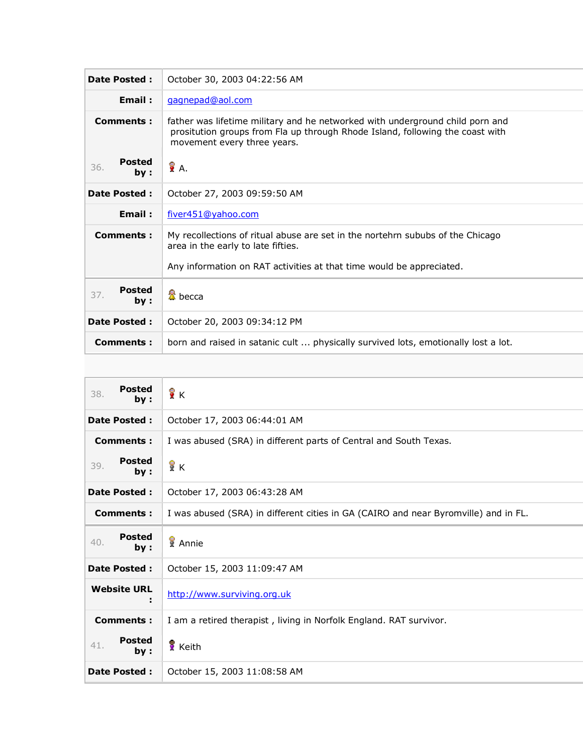| <b>Date Posted:</b>          | October 30, 2003 04:22:56 AM                                                                                                                                                                  |
|------------------------------|-----------------------------------------------------------------------------------------------------------------------------------------------------------------------------------------------|
| Email:                       | gagnepad@aol.com                                                                                                                                                                              |
| <b>Comments:</b>             | father was lifetime military and he networked with underground child porn and<br>prositution groups from Fla up through Rhode Island, following the coast with<br>movement every three years. |
| <b>Posted</b><br>36.<br>by:  | у₹А.                                                                                                                                                                                          |
| <b>Date Posted:</b>          | October 27, 2003 09:59:50 AM                                                                                                                                                                  |
| Email:                       | fiver451@yahoo.com                                                                                                                                                                            |
| Comments:                    | My recollections of ritual abuse are set in the nortehrn sububs of the Chicago<br>area in the early to late fifties.<br>Any information on RAT activities at that time would be appreciated.  |
| <b>Posted</b><br>37.<br>by : | <sup>叠</sup> becca                                                                                                                                                                            |
| <b>Date Posted:</b>          | October 20, 2003 09:34:12 PM                                                                                                                                                                  |
| <b>Comments:</b>             | born and raised in satanic cult  physically survived lots, emotionally lost a lot.                                                                                                            |

| <b>Posted</b><br>38.<br>bv: | ÎΚ                                                                                  |
|-----------------------------|-------------------------------------------------------------------------------------|
| <b>Date Posted:</b>         | October 17, 2003 06:44:01 AM                                                        |
| <b>Comments:</b>            | I was abused (SRA) in different parts of Central and South Texas.                   |
| <b>Posted</b><br>39.<br>by: | ÅΚ                                                                                  |
| <b>Date Posted:</b>         | October 17, 2003 06:43:28 AM                                                        |
| <b>Comments:</b>            | I was abused (SRA) in different cities in GA (CAIRO and near Byromville) and in FL. |
| <b>Posted</b><br>40.<br>by: | Annie                                                                               |
| <b>Date Posted:</b>         | October 15, 2003 11:09:47 AM                                                        |
| <b>Website URL</b>          | http://www.surviving.org.uk                                                         |
| <b>Comments:</b>            | I am a retired therapist, living in Norfolk England. RAT survivor.                  |
| <b>Posted</b><br>41.<br>by: | Keith                                                                               |
| <b>Date Posted:</b>         | October 15, 2003 11:08:58 AM                                                        |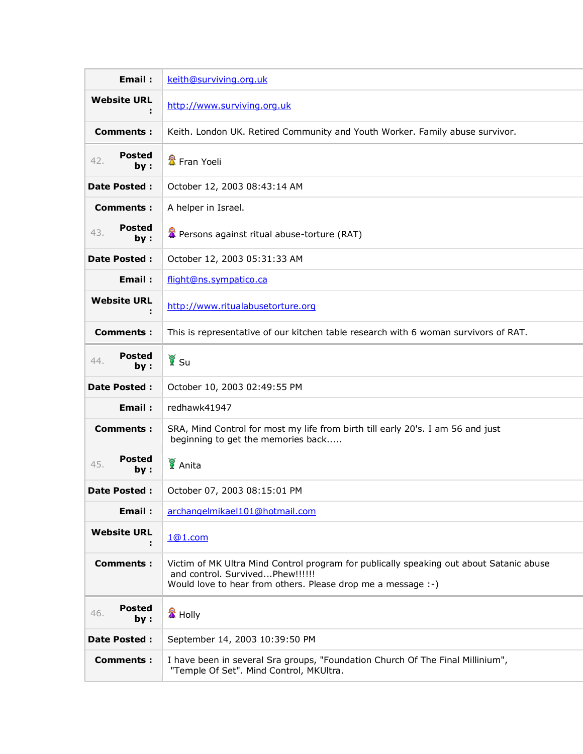| <b>Email:</b>               | keith@surviving.org.uk                                                                                                                                                                     |
|-----------------------------|--------------------------------------------------------------------------------------------------------------------------------------------------------------------------------------------|
| <b>Website URL</b>          | http://www.surviving.org.uk                                                                                                                                                                |
| <b>Comments:</b>            | Keith. London UK. Retired Community and Youth Worker. Family abuse survivor.                                                                                                               |
| <b>Posted</b><br>42.<br>by: | 盘 Fran Yoeli                                                                                                                                                                               |
| <b>Date Posted:</b>         | October 12, 2003 08:43:14 AM                                                                                                                                                               |
| <b>Comments:</b>            | A helper in Israel.                                                                                                                                                                        |
| <b>Posted</b><br>43.<br>by: | Persons against ritual abuse-torture (RAT)                                                                                                                                                 |
| <b>Date Posted:</b>         | October 12, 2003 05:31:33 AM                                                                                                                                                               |
| Email:                      | flight@ns.sympatico.ca                                                                                                                                                                     |
| <b>Website URL</b><br>÷     | http://www.ritualabusetorture.org                                                                                                                                                          |
| <b>Comments:</b>            | This is representative of our kitchen table research with 6 woman survivors of RAT.                                                                                                        |
| <b>Posted</b><br>44.<br>by: | ัั¥ี Su                                                                                                                                                                                    |
| <b>Date Posted:</b>         | October 10, 2003 02:49:55 PM                                                                                                                                                               |
| Email:                      | redhawk41947                                                                                                                                                                               |
| <b>Comments:</b>            | SRA, Mind Control for most my life from birth till early 20's. I am 56 and just<br>beginning to get the memories back                                                                      |
| <b>Posted</b><br>45.<br>by: | Anita                                                                                                                                                                                      |
| <b>Date Posted:</b>         | October 07, 2003 08:15:01 PM                                                                                                                                                               |
| <b>Email:</b>               | archangelmikael101@hotmail.com                                                                                                                                                             |
| <b>Website URL</b><br>н     | 1@1.com                                                                                                                                                                                    |
| <b>Comments:</b>            | Victim of MK Ultra Mind Control program for publically speaking out about Satanic abuse<br>and control. SurvivedPhew!!!!!!<br>Would love to hear from others. Please drop me a message :-) |
| <b>Posted</b><br>46.<br>by: | <mark>公</mark> Holly                                                                                                                                                                       |
| <b>Date Posted:</b>         | September 14, 2003 10:39:50 PM                                                                                                                                                             |
| <b>Comments:</b>            | I have been in several Sra groups, "Foundation Church Of The Final Millinium",<br>"Temple Of Set". Mind Control, MKUltra.                                                                  |